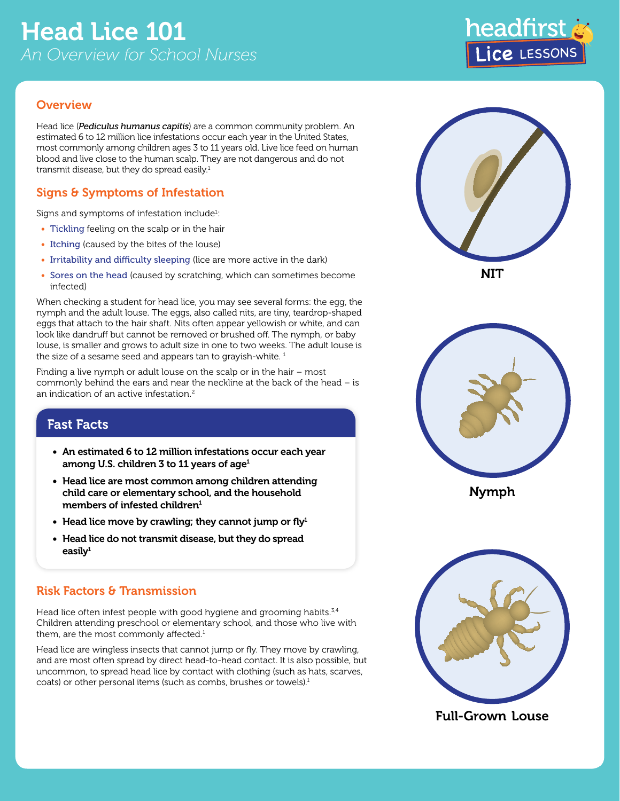## **Overview**

Head lice (*Pediculus humanus capitis*) are a common community problem. An estimated 6 to 12 million lice infestations occur each year in the United States, most commonly among children ages 3 to 11 years old. Live lice feed on human blood and live close to the human scalp. They are not dangerous and do not transmit disease, but they do spread easily.<sup>1</sup>

# Signs & Symptoms of Infestation

Signs and symptoms of infestation include $^1$ :

- Tickling feeling on the scalp or in the hair
- Itching (caused by the bites of the louse)
- Irritability and difficulty sleeping (lice are more active in the dark)
- Sores on the head (caused by scratching, which can sometimes become infected)

When checking a student for head lice, you may see several forms: the egg, the nymph and the adult louse. The eggs, also called nits, are tiny, teardrop-shaped eggs that attach to the hair shaft. Nits often appear yellowish or white, and can look like dandruff but cannot be removed or brushed off. The nymph, or baby louse, is smaller and grows to adult size in one to two weeks. The adult louse is the size of a sesame seed and appears tan to grayish-white.<sup>1</sup>

Finding a live nymph or adult louse on the scalp or in the hair – most commonly behind the ears and near the neckline at the back of the head – is an indication of an active infestation. $2$ 

# Fast Facts

- An estimated 6 to 12 million infestations occur each year among U.S. children 3 to 11 years of age<sup>1</sup>
- Head lice are most common among children attending child care or elementary school, and the household members of infested children $1$
- Head lice move by crawling; they cannot jump or fly $1$
- Head lice do not transmit disease, but they do spread easily $1$

## Risk Factors & Transmission

Head lice often infest people with good hygiene and grooming habits.<sup>3,4</sup> Children attending preschool or elementary school, and those who live with them, are the most commonly affected.<sup>1</sup>

Head lice are wingless insects that cannot jump or fly. They move by crawling, and are most often spread by direct head-to-head contact. It is also possible, but uncommon, to spread head lice by contact with clothing (such as hats, scarves, coats) or other personal items (such as combs, brushes or towels).<sup>1</sup>





Nymph



Full-Grown Louse